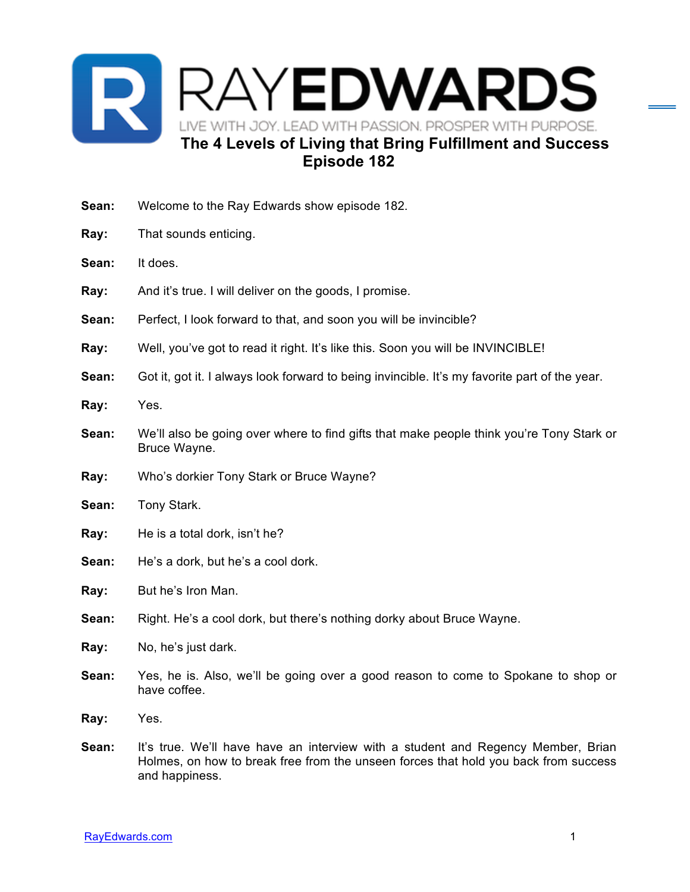

- **Sean:** Welcome to the Ray Edwards show episode 182.
- **Ray:** That sounds enticing.
- **Sean:** It does.
- **Ray:** And it's true. I will deliver on the goods, I promise.
- **Sean:** Perfect, I look forward to that, and soon you will be invincible?
- **Ray:** Well, you've got to read it right. It's like this. Soon you will be INVINCIBLE!
- **Sean:** Got it, got it. I always look forward to being invincible. It's my favorite part of the year.
- **Ray:** Yes.
- **Sean:** We'll also be going over where to find gifts that make people think you're Tony Stark or Bruce Wayne.
- **Ray:** Who's dorkier Tony Stark or Bruce Wayne?
- **Sean:** Tony Stark.
- **Ray:** He is a total dork, isn't he?
- **Sean:** He's a dork, but he's a cool dork.

**Ray:** But he's Iron Man.

- **Sean:** Right. He's a cool dork, but there's nothing dorky about Bruce Wayne.
- **Ray:** No, he's just dark.
- **Sean:** Yes, he is. Also, we'll be going over a good reason to come to Spokane to shop or have coffee.
- **Ray:** Yes.
- **Sean:** It's true. We'll have have an interview with a student and Regency Member, Brian Holmes, on how to break free from the unseen forces that hold you back from success and happiness.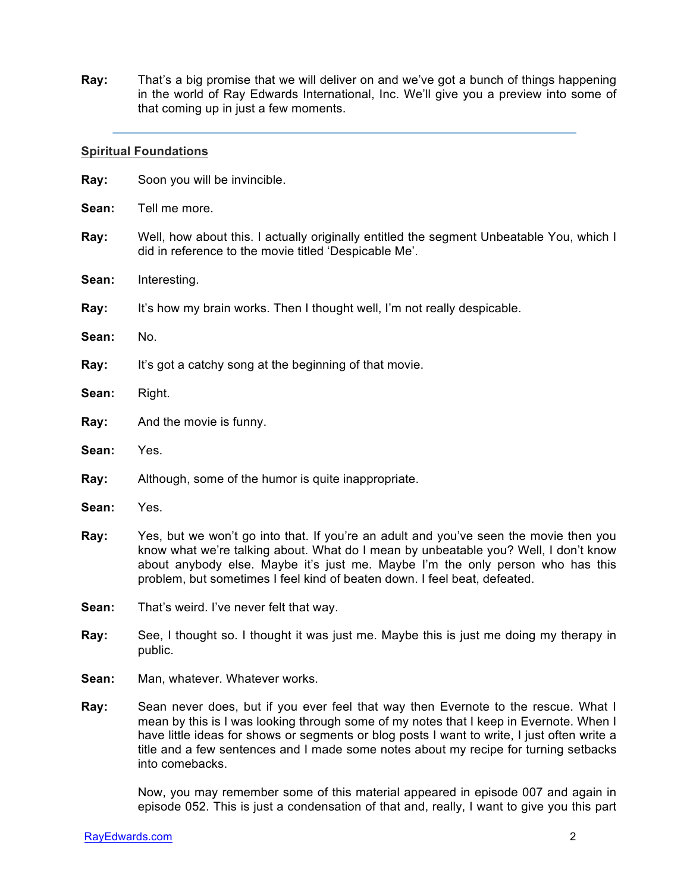**Ray:** That's a big promise that we will deliver on and we've got a bunch of things happening in the world of Ray Edwards International, Inc. We'll give you a preview into some of that coming up in just a few moments.

#### **Spiritual Foundations**

| Ray:  | Soon you will be invincible.                                                                                                                                                                                                                                                                                                                |
|-------|---------------------------------------------------------------------------------------------------------------------------------------------------------------------------------------------------------------------------------------------------------------------------------------------------------------------------------------------|
| Sean: | Tell me more.                                                                                                                                                                                                                                                                                                                               |
| Ray:  | Well, how about this. I actually originally entitled the segment Unbeatable You, which I<br>did in reference to the movie titled 'Despicable Me'.                                                                                                                                                                                           |
| Sean: | Interesting.                                                                                                                                                                                                                                                                                                                                |
| Ray:  | It's how my brain works. Then I thought well, I'm not really despicable.                                                                                                                                                                                                                                                                    |
| Sean: | No.                                                                                                                                                                                                                                                                                                                                         |
| Ray:  | It's got a catchy song at the beginning of that movie.                                                                                                                                                                                                                                                                                      |
| Sean: | Right.                                                                                                                                                                                                                                                                                                                                      |
| Ray:  | And the movie is funny.                                                                                                                                                                                                                                                                                                                     |
| Sean: | Yes.                                                                                                                                                                                                                                                                                                                                        |
| Ray:  | Although, some of the humor is quite inappropriate.                                                                                                                                                                                                                                                                                         |
| Sean: | Yes.                                                                                                                                                                                                                                                                                                                                        |
| Ray:  | Yes, but we won't go into that. If you're an adult and you've seen the movie then you<br>know what we're talking about. What do I mean by unbeatable you? Well, I don't know<br>about anybody else. Maybe it's just me. Maybe I'm the only person who has this<br>problem, but sometimes I feel kind of beaten down. I feel beat, defeated. |
| Sean: | That's weird. I've never felt that way.                                                                                                                                                                                                                                                                                                     |
| Ray:  | See, I thought so. I thought it was just me. Maybe this is just me doing my therapy in<br>public.                                                                                                                                                                                                                                           |
| Sean: | Man, whatever. Whatever works.                                                                                                                                                                                                                                                                                                              |
| Ray:  | Sean never does, but if you ever feel that way then Evernote to the rescue. What I<br>mean by this is I was looking through some of my notes that I keep in Evernote. When I<br>have little ideas for shows or segments or blog posts I want to write, I just often write a                                                                 |

Now, you may remember some of this material appeared in episode 007 and again in episode 052. This is just a condensation of that and, really, I want to give you this part

title and a few sentences and I made some notes about my recipe for turning setbacks

into comebacks.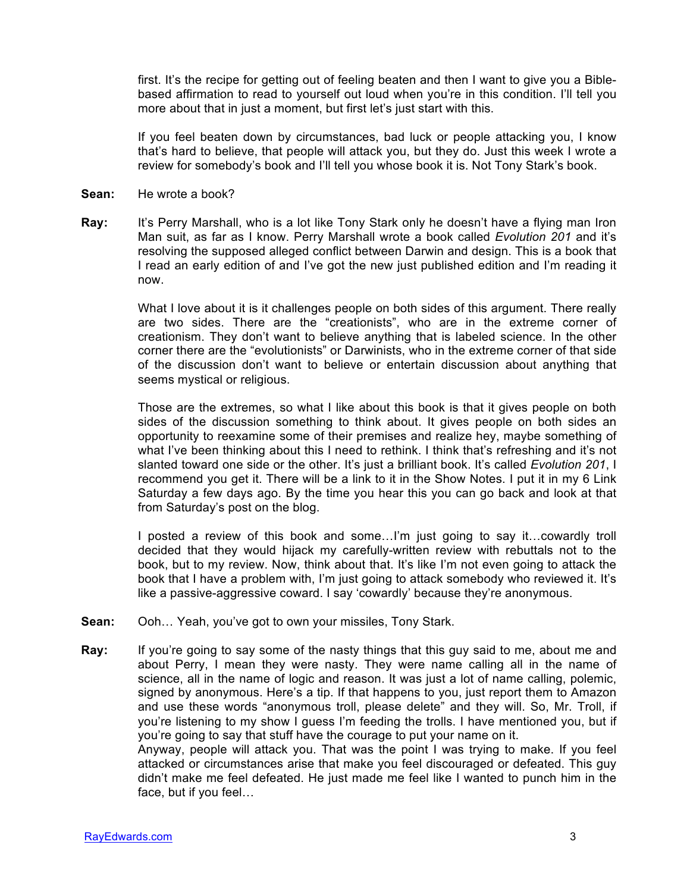first. It's the recipe for getting out of feeling beaten and then I want to give you a Biblebased affirmation to read to yourself out loud when you're in this condition. I'll tell you more about that in just a moment, but first let's just start with this.

If you feel beaten down by circumstances, bad luck or people attacking you, I know that's hard to believe, that people will attack you, but they do. Just this week I wrote a review for somebody's book and I'll tell you whose book it is. Not Tony Stark's book.

- **Sean:** He wrote a book?
- **Ray:** It's Perry Marshall, who is a lot like Tony Stark only he doesn't have a flying man Iron Man suit, as far as I know. Perry Marshall wrote a book called *Evolution 201* and it's resolving the supposed alleged conflict between Darwin and design. This is a book that I read an early edition of and I've got the new just published edition and I'm reading it now.

What I love about it is it challenges people on both sides of this argument. There really are two sides. There are the "creationists", who are in the extreme corner of creationism. They don't want to believe anything that is labeled science. In the other corner there are the "evolutionists" or Darwinists, who in the extreme corner of that side of the discussion don't want to believe or entertain discussion about anything that seems mystical or religious.

Those are the extremes, so what I like about this book is that it gives people on both sides of the discussion something to think about. It gives people on both sides an opportunity to reexamine some of their premises and realize hey, maybe something of what I've been thinking about this I need to rethink. I think that's refreshing and it's not slanted toward one side or the other. It's just a brilliant book. It's called *Evolution 201*, I recommend you get it. There will be a link to it in the Show Notes. I put it in my 6 Link Saturday a few days ago. By the time you hear this you can go back and look at that from Saturday's post on the blog.

I posted a review of this book and some…I'm just going to say it…cowardly troll decided that they would hijack my carefully-written review with rebuttals not to the book, but to my review. Now, think about that. It's like I'm not even going to attack the book that I have a problem with, I'm just going to attack somebody who reviewed it. It's like a passive-aggressive coward. I say 'cowardly' because they're anonymous.

- **Sean:** Ooh… Yeah, you've got to own your missiles, Tony Stark.
- **Ray:** If you're going to say some of the nasty things that this guy said to me, about me and about Perry, I mean they were nasty. They were name calling all in the name of science, all in the name of logic and reason. It was just a lot of name calling, polemic, signed by anonymous. Here's a tip. If that happens to you, just report them to Amazon and use these words "anonymous troll, please delete" and they will. So, Mr. Troll, if you're listening to my show I guess I'm feeding the trolls. I have mentioned you, but if you're going to say that stuff have the courage to put your name on it. Anyway, people will attack you. That was the point I was trying to make. If you feel

attacked or circumstances arise that make you feel discouraged or defeated. This guy didn't make me feel defeated. He just made me feel like I wanted to punch him in the face, but if you feel…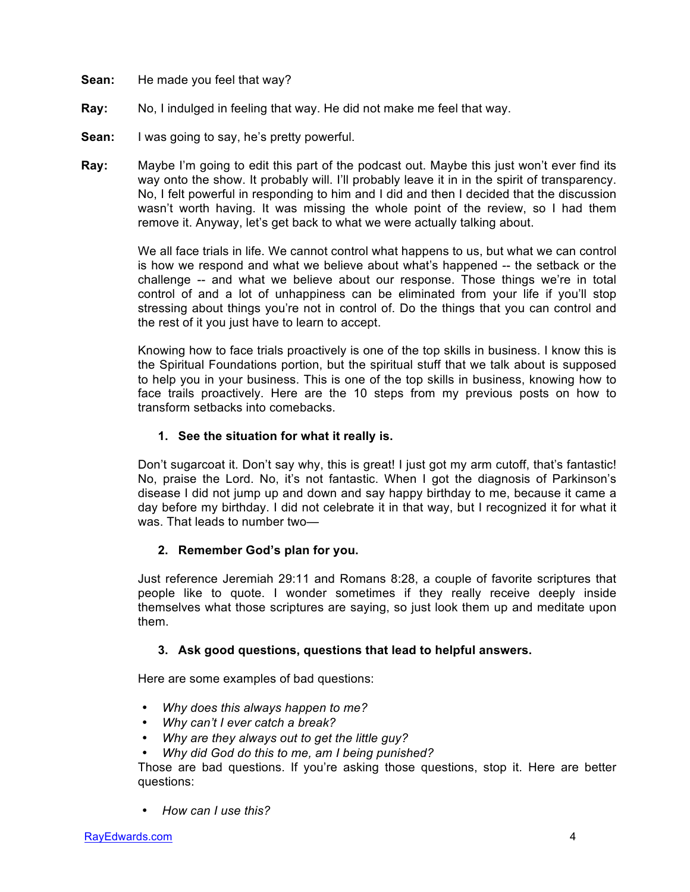- **Sean:** He made you feel that way?
- **Ray:** No, I indulged in feeling that way. He did not make me feel that way.
- **Sean:** I was going to say, he's pretty powerful.
- **Ray:** Maybe I'm going to edit this part of the podcast out. Maybe this just won't ever find its way onto the show. It probably will. I'll probably leave it in in the spirit of transparency. No, I felt powerful in responding to him and I did and then I decided that the discussion wasn't worth having. It was missing the whole point of the review, so I had them remove it. Anyway, let's get back to what we were actually talking about.

We all face trials in life. We cannot control what happens to us, but what we can control is how we respond and what we believe about what's happened -- the setback or the challenge -- and what we believe about our response. Those things we're in total control of and a lot of unhappiness can be eliminated from your life if you'll stop stressing about things you're not in control of. Do the things that you can control and the rest of it you just have to learn to accept.

Knowing how to face trials proactively is one of the top skills in business. I know this is the Spiritual Foundations portion, but the spiritual stuff that we talk about is supposed to help you in your business. This is one of the top skills in business, knowing how to face trails proactively. Here are the 10 steps from my previous posts on how to transform setbacks into comebacks.

# **1. See the situation for what it really is.**

Don't sugarcoat it. Don't say why, this is great! I just got my arm cutoff, that's fantastic! No, praise the Lord. No, it's not fantastic. When I got the diagnosis of Parkinson's disease I did not jump up and down and say happy birthday to me, because it came a day before my birthday. I did not celebrate it in that way, but I recognized it for what it was. That leads to number two—

# **2. Remember God's plan for you.**

Just reference Jeremiah 29:11 and Romans 8:28, a couple of favorite scriptures that people like to quote. I wonder sometimes if they really receive deeply inside themselves what those scriptures are saying, so just look them up and meditate upon them.

# **3. Ask good questions, questions that lead to helpful answers.**

Here are some examples of bad questions:

- *Why does this always happen to me?*
- *Why can't I ever catch a break?*
- *Why are they always out to get the little guy?*
- *Why did God do this to me, am I being punished?*

Those are bad questions. If you're asking those questions, stop it. Here are better questions:

• *How can I use this?*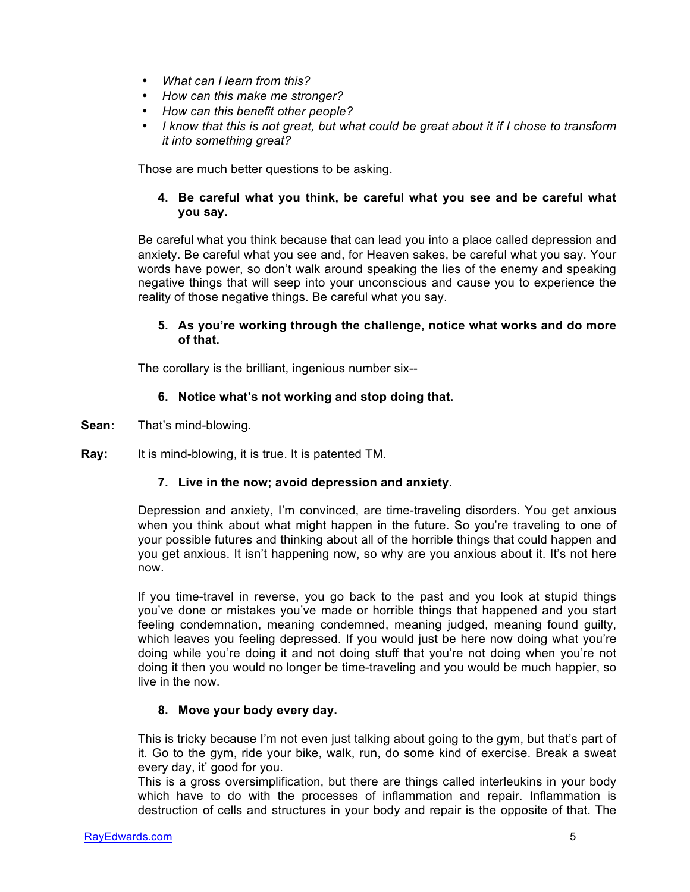- *What can I learn from this?*
- *How can this make me stronger?*
- *How can this benefit other people?*
- *I know that this is not great, but what could be great about it if I chose to transform it into something great?*

Those are much better questions to be asking.

# **4. Be careful what you think, be careful what you see and be careful what you say.**

Be careful what you think because that can lead you into a place called depression and anxiety. Be careful what you see and, for Heaven sakes, be careful what you say. Your words have power, so don't walk around speaking the lies of the enemy and speaking negative things that will seep into your unconscious and cause you to experience the reality of those negative things. Be careful what you say.

#### **5. As you're working through the challenge, notice what works and do more of that.**

The corollary is the brilliant, ingenious number six--

# **6. Notice what's not working and stop doing that.**

- **Sean:** That's mind-blowing.
- **Ray:** It is mind-blowing, it is true. It is patented TM.

# **7. Live in the now; avoid depression and anxiety.**

Depression and anxiety, I'm convinced, are time-traveling disorders. You get anxious when you think about what might happen in the future. So you're traveling to one of your possible futures and thinking about all of the horrible things that could happen and you get anxious. It isn't happening now, so why are you anxious about it. It's not here now.

If you time-travel in reverse, you go back to the past and you look at stupid things you've done or mistakes you've made or horrible things that happened and you start feeling condemnation, meaning condemned, meaning judged, meaning found guilty, which leaves you feeling depressed. If you would just be here now doing what you're doing while you're doing it and not doing stuff that you're not doing when you're not doing it then you would no longer be time-traveling and you would be much happier, so live in the now.

# **8. Move your body every day.**

This is tricky because I'm not even just talking about going to the gym, but that's part of it. Go to the gym, ride your bike, walk, run, do some kind of exercise. Break a sweat every day, it' good for you.

This is a gross oversimplification, but there are things called interleukins in your body which have to do with the processes of inflammation and repair. Inflammation is destruction of cells and structures in your body and repair is the opposite of that. The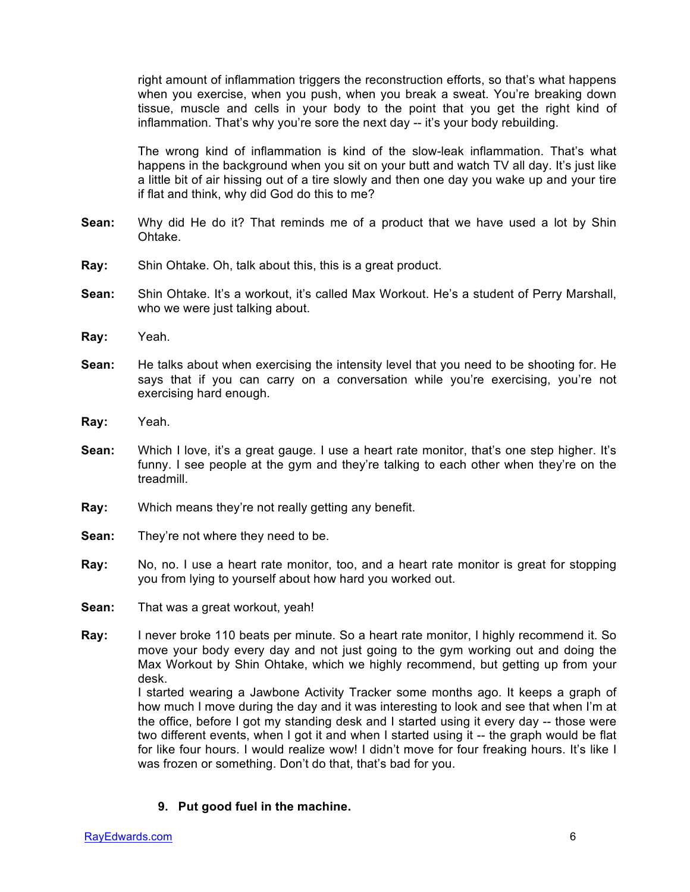right amount of inflammation triggers the reconstruction efforts, so that's what happens when you exercise, when you push, when you break a sweat. You're breaking down tissue, muscle and cells in your body to the point that you get the right kind of inflammation. That's why you're sore the next day -- it's your body rebuilding.

The wrong kind of inflammation is kind of the slow-leak inflammation. That's what happens in the background when you sit on your butt and watch TV all day. It's just like a little bit of air hissing out of a tire slowly and then one day you wake up and your tire if flat and think, why did God do this to me?

- **Sean:** Why did He do it? That reminds me of a product that we have used a lot by Shin Ohtake.
- **Ray:** Shin Ohtake. Oh, talk about this, this is a great product.
- **Sean:** Shin Ohtake. It's a workout, it's called Max Workout. He's a student of Perry Marshall, who we were just talking about.
- **Ray:** Yeah.
- **Sean:** He talks about when exercising the intensity level that you need to be shooting for. He says that if you can carry on a conversation while you're exercising, you're not exercising hard enough.
- **Ray:** Yeah.
- **Sean:** Which I love, it's a great gauge. I use a heart rate monitor, that's one step higher. It's funny. I see people at the gym and they're talking to each other when they're on the treadmill.
- **Ray:** Which means they're not really getting any benefit.
- **Sean:** They're not where they need to be.
- **Ray:** No, no. I use a heart rate monitor, too, and a heart rate monitor is great for stopping you from lying to yourself about how hard you worked out.
- **Sean:** That was a great workout, yeah!
- **Ray:** I never broke 110 beats per minute. So a heart rate monitor, I highly recommend it. So move your body every day and not just going to the gym working out and doing the Max Workout by Shin Ohtake, which we highly recommend, but getting up from your desk.

I started wearing a Jawbone Activity Tracker some months ago. It keeps a graph of how much I move during the day and it was interesting to look and see that when I'm at the office, before I got my standing desk and I started using it every day -- those were two different events, when I got it and when I started using it -- the graph would be flat for like four hours. I would realize wow! I didn't move for four freaking hours. It's like I was frozen or something. Don't do that, that's bad for you.

**9. Put good fuel in the machine.**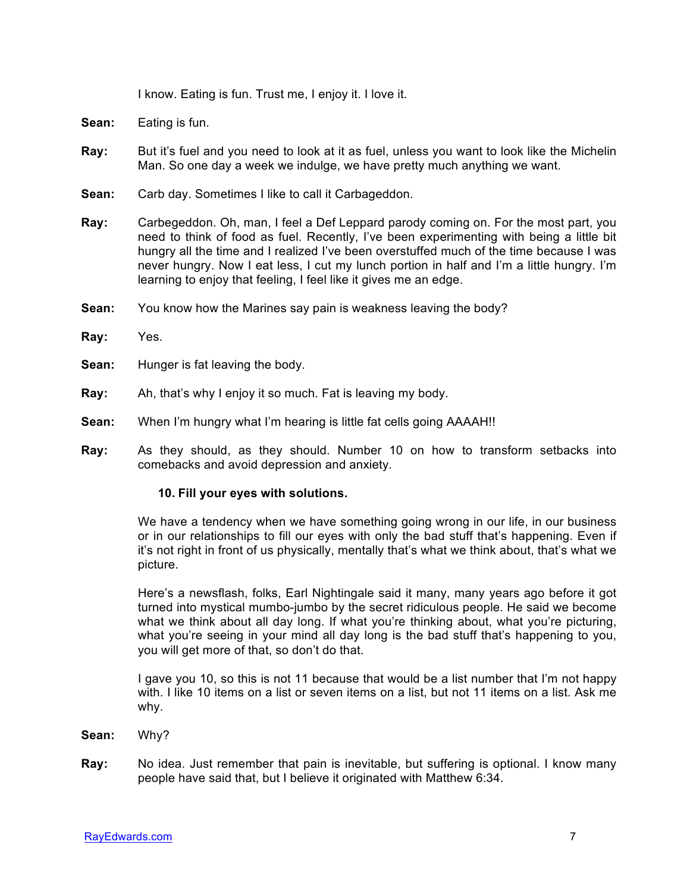I know. Eating is fun. Trust me, I enjoy it. I love it.

- **Sean:** Eating is fun.
- **Ray:** But it's fuel and you need to look at it as fuel, unless you want to look like the Michelin Man. So one day a week we indulge, we have pretty much anything we want.
- **Sean:** Carb day. Sometimes I like to call it Carbageddon.
- **Ray:** Carbegeddon. Oh, man, I feel a Def Leppard parody coming on. For the most part, you need to think of food as fuel. Recently, I've been experimenting with being a little bit hungry all the time and I realized I've been overstuffed much of the time because I was never hungry. Now I eat less, I cut my lunch portion in half and I'm a little hungry. I'm learning to enjoy that feeling, I feel like it gives me an edge.
- **Sean:** You know how the Marines say pain is weakness leaving the body?
- **Ray:** Yes.
- **Sean:** Hunger is fat leaving the body.
- **Ray:** Ah, that's why I enjoy it so much. Fat is leaving my body.
- **Sean:** When I'm hungry what I'm hearing is little fat cells going AAAAH!!
- **Ray:** As they should, as they should. Number 10 on how to transform setbacks into comebacks and avoid depression and anxiety.

#### **10. Fill your eyes with solutions.**

We have a tendency when we have something going wrong in our life, in our business or in our relationships to fill our eyes with only the bad stuff that's happening. Even if it's not right in front of us physically, mentally that's what we think about, that's what we picture.

Here's a newsflash, folks, Earl Nightingale said it many, many years ago before it got turned into mystical mumbo-jumbo by the secret ridiculous people. He said we become what we think about all day long. If what you're thinking about, what you're picturing, what you're seeing in your mind all day long is the bad stuff that's happening to you, you will get more of that, so don't do that.

I gave you 10, so this is not 11 because that would be a list number that I'm not happy with. I like 10 items on a list or seven items on a list, but not 11 items on a list. Ask me why.

- **Sean:** Why?
- **Ray:** No idea. Just remember that pain is inevitable, but suffering is optional. I know many people have said that, but I believe it originated with Matthew 6:34.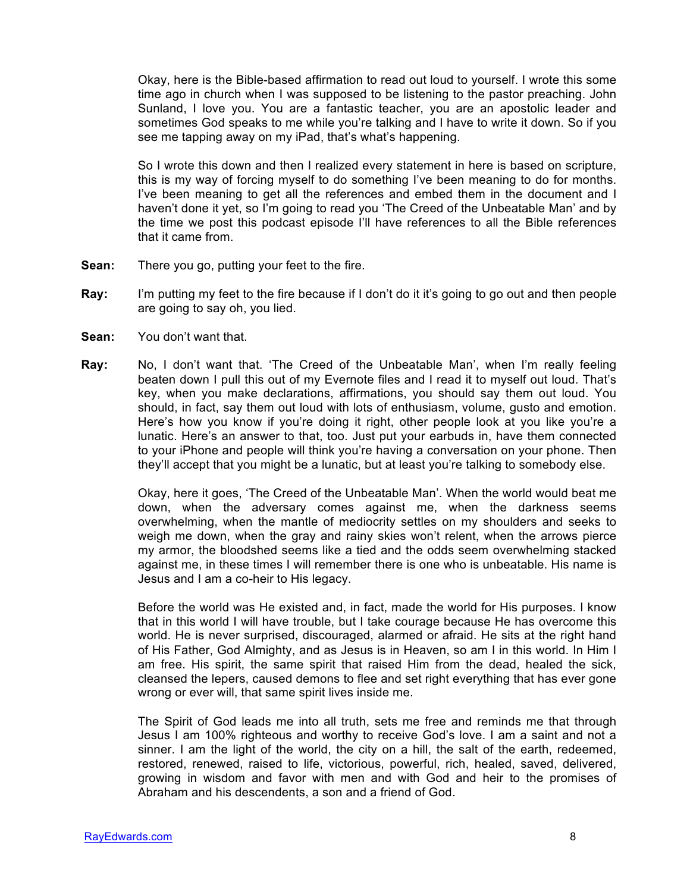Okay, here is the Bible-based affirmation to read out loud to yourself. I wrote this some time ago in church when I was supposed to be listening to the pastor preaching. John Sunland, I love you. You are a fantastic teacher, you are an apostolic leader and sometimes God speaks to me while you're talking and I have to write it down. So if you see me tapping away on my iPad, that's what's happening.

So I wrote this down and then I realized every statement in here is based on scripture, this is my way of forcing myself to do something I've been meaning to do for months. I've been meaning to get all the references and embed them in the document and I haven't done it yet, so I'm going to read you 'The Creed of the Unbeatable Man' and by the time we post this podcast episode I'll have references to all the Bible references that it came from.

- **Sean:** There you go, putting your feet to the fire.
- **Ray:** I'm putting my feet to the fire because if I don't do it it's going to go out and then people are going to say oh, you lied.
- **Sean:** You don't want that.
- **Ray:** No, I don't want that. 'The Creed of the Unbeatable Man', when I'm really feeling beaten down I pull this out of my Evernote files and I read it to myself out loud. That's key, when you make declarations, affirmations, you should say them out loud. You should, in fact, say them out loud with lots of enthusiasm, volume, gusto and emotion. Here's how you know if you're doing it right, other people look at you like you're a lunatic. Here's an answer to that, too. Just put your earbuds in, have them connected to your iPhone and people will think you're having a conversation on your phone. Then they'll accept that you might be a lunatic, but at least you're talking to somebody else.

Okay, here it goes, 'The Creed of the Unbeatable Man'. When the world would beat me down, when the adversary comes against me, when the darkness seems overwhelming, when the mantle of mediocrity settles on my shoulders and seeks to weigh me down, when the gray and rainy skies won't relent, when the arrows pierce my armor, the bloodshed seems like a tied and the odds seem overwhelming stacked against me, in these times I will remember there is one who is unbeatable. His name is Jesus and I am a co-heir to His legacy.

Before the world was He existed and, in fact, made the world for His purposes. I know that in this world I will have trouble, but I take courage because He has overcome this world. He is never surprised, discouraged, alarmed or afraid. He sits at the right hand of His Father, God Almighty, and as Jesus is in Heaven, so am I in this world. In Him I am free. His spirit, the same spirit that raised Him from the dead, healed the sick, cleansed the lepers, caused demons to flee and set right everything that has ever gone wrong or ever will, that same spirit lives inside me.

The Spirit of God leads me into all truth, sets me free and reminds me that through Jesus I am 100% righteous and worthy to receive God's love. I am a saint and not a sinner. I am the light of the world, the city on a hill, the salt of the earth, redeemed, restored, renewed, raised to life, victorious, powerful, rich, healed, saved, delivered, growing in wisdom and favor with men and with God and heir to the promises of Abraham and his descendents, a son and a friend of God.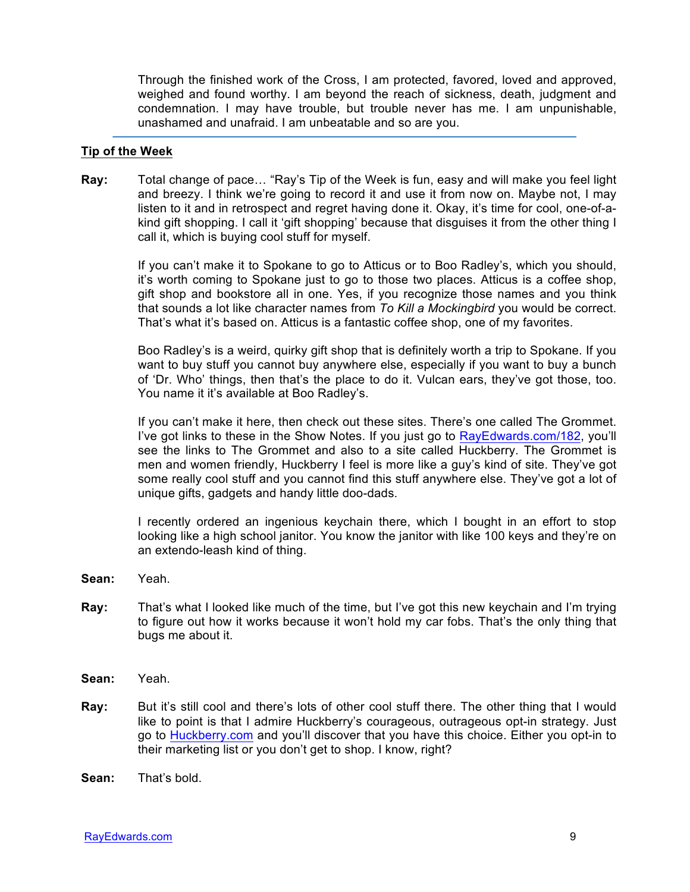Through the finished work of the Cross, I am protected, favored, loved and approved, weighed and found worthy. I am beyond the reach of sickness, death, judgment and condemnation. I may have trouble, but trouble never has me. I am unpunishable, unashamed and unafraid. I am unbeatable and so are you.

#### **Tip of the Week**

**Ray:** Total change of pace… "Ray's Tip of the Week is fun, easy and will make you feel light and breezy. I think we're going to record it and use it from now on. Maybe not, I may listen to it and in retrospect and regret having done it. Okay, it's time for cool, one-of-akind gift shopping. I call it 'gift shopping' because that disguises it from the other thing I call it, which is buying cool stuff for myself.

> If you can't make it to Spokane to go to Atticus or to Boo Radley's, which you should, it's worth coming to Spokane just to go to those two places. Atticus is a coffee shop, gift shop and bookstore all in one. Yes, if you recognize those names and you think that sounds a lot like character names from *To Kill a Mockingbird* you would be correct. That's what it's based on. Atticus is a fantastic coffee shop, one of my favorites.

> Boo Radley's is a weird, quirky gift shop that is definitely worth a trip to Spokane. If you want to buy stuff you cannot buy anywhere else, especially if you want to buy a bunch of 'Dr. Who' things, then that's the place to do it. Vulcan ears, they've got those, too. You name it it's available at Boo Radley's.

> If you can't make it here, then check out these sites. There's one called The Grommet. I've got links to these in the Show Notes. If you just go to RayEdwards.com/182, you'll see the links to The Grommet and also to a site called Huckberry. The Grommet is men and women friendly, Huckberry I feel is more like a guy's kind of site. They've got some really cool stuff and you cannot find this stuff anywhere else. They've got a lot of unique gifts, gadgets and handy little doo-dads.

> I recently ordered an ingenious keychain there, which I bought in an effort to stop looking like a high school janitor. You know the janitor with like 100 keys and they're on an extendo-leash kind of thing.

- **Sean:** Yeah.
- **Ray:** That's what I looked like much of the time, but I've got this new keychain and I'm trying to figure out how it works because it won't hold my car fobs. That's the only thing that bugs me about it.
- **Sean:** Yeah.
- **Ray:** But it's still cool and there's lots of other cool stuff there. The other thing that I would like to point is that I admire Huckberry's courageous, outrageous opt-in strategy. Just go to Huckberry.com and you'll discover that you have this choice. Either you opt-in to their marketing list or you don't get to shop. I know, right?
- **Sean:** That's bold.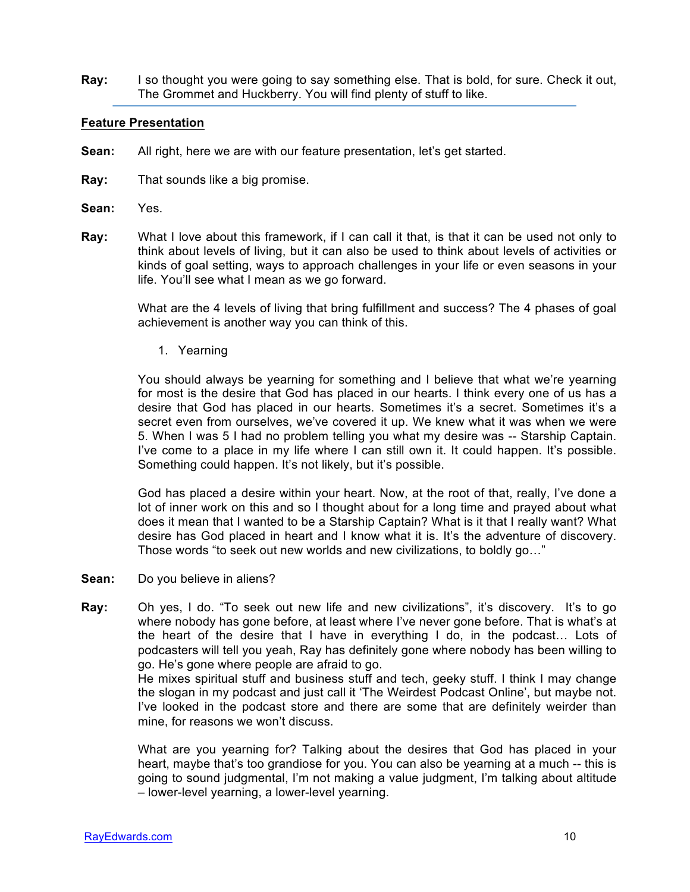**Ray:** I so thought you were going to say something else. That is bold, for sure. Check it out, The Grommet and Huckberry. You will find plenty of stuff to like.

#### **Feature Presentation**

- **Sean:** All right, here we are with our feature presentation, let's get started.
- **Ray:** That sounds like a big promise.
- **Sean:** Yes.
- **Ray:** What I love about this framework, if I can call it that, is that it can be used not only to think about levels of living, but it can also be used to think about levels of activities or kinds of goal setting, ways to approach challenges in your life or even seasons in your life. You'll see what I mean as we go forward.

What are the 4 levels of living that bring fulfillment and success? The 4 phases of goal achievement is another way you can think of this.

1. Yearning

You should always be yearning for something and I believe that what we're yearning for most is the desire that God has placed in our hearts. I think every one of us has a desire that God has placed in our hearts. Sometimes it's a secret. Sometimes it's a secret even from ourselves, we've covered it up. We knew what it was when we were 5. When I was 5 I had no problem telling you what my desire was -- Starship Captain. I've come to a place in my life where I can still own it. It could happen. It's possible. Something could happen. It's not likely, but it's possible.

God has placed a desire within your heart. Now, at the root of that, really, I've done a lot of inner work on this and so I thought about for a long time and prayed about what does it mean that I wanted to be a Starship Captain? What is it that I really want? What desire has God placed in heart and I know what it is. It's the adventure of discovery. Those words "to seek out new worlds and new civilizations, to boldly go…"

- **Sean:** Do you believe in aliens?
- **Ray:** Oh yes, I do. "To seek out new life and new civilizations", it's discovery. It's to go where nobody has gone before, at least where I've never gone before. That is what's at the heart of the desire that I have in everything I do, in the podcast… Lots of podcasters will tell you yeah, Ray has definitely gone where nobody has been willing to go. He's gone where people are afraid to go.

He mixes spiritual stuff and business stuff and tech, geeky stuff. I think I may change the slogan in my podcast and just call it 'The Weirdest Podcast Online', but maybe not. I've looked in the podcast store and there are some that are definitely weirder than mine, for reasons we won't discuss.

What are you yearning for? Talking about the desires that God has placed in your heart, maybe that's too grandiose for you. You can also be yearning at a much -- this is going to sound judgmental, I'm not making a value judgment, I'm talking about altitude – lower-level yearning, a lower-level yearning.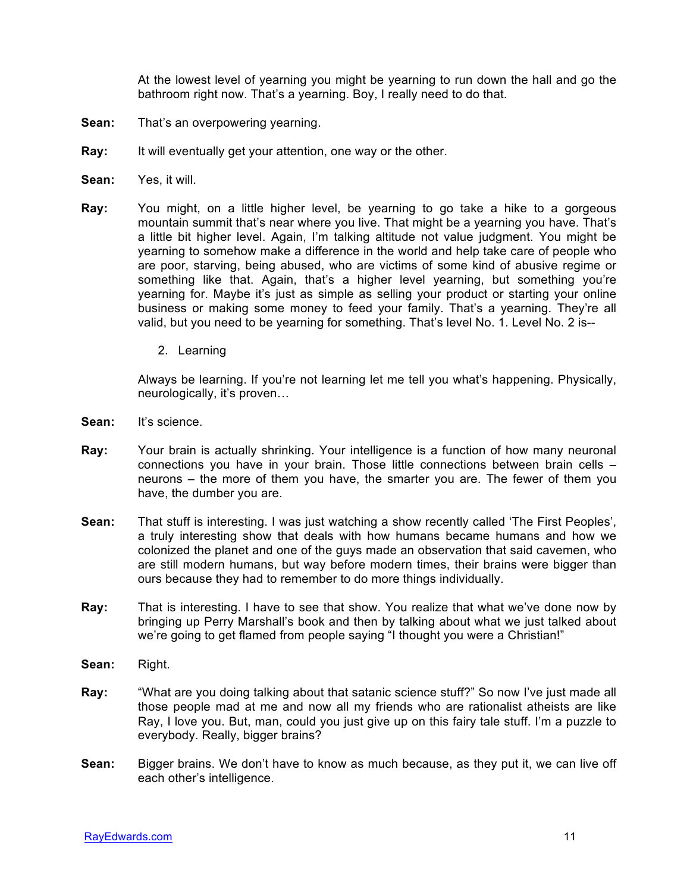At the lowest level of yearning you might be yearning to run down the hall and go the bathroom right now. That's a yearning. Boy, I really need to do that.

- **Sean:** That's an overpowering yearning.
- **Ray:** It will eventually get your attention, one way or the other.
- **Sean:** Yes, it will.
- **Ray:** You might, on a little higher level, be yearning to go take a hike to a gorgeous mountain summit that's near where you live. That might be a yearning you have. That's a little bit higher level. Again, I'm talking altitude not value judgment. You might be yearning to somehow make a difference in the world and help take care of people who are poor, starving, being abused, who are victims of some kind of abusive regime or something like that. Again, that's a higher level yearning, but something you're yearning for. Maybe it's just as simple as selling your product or starting your online business or making some money to feed your family. That's a yearning. They're all valid, but you need to be yearning for something. That's level No. 1. Level No. 2 is--
	- 2. Learning

Always be learning. If you're not learning let me tell you what's happening. Physically, neurologically, it's proven…

- Sean: It's science.
- **Ray:** Your brain is actually shrinking. Your intelligence is a function of how many neuronal connections you have in your brain. Those little connections between brain cells – neurons – the more of them you have, the smarter you are. The fewer of them you have, the dumber you are.
- **Sean:** That stuff is interesting. I was just watching a show recently called 'The First Peoples', a truly interesting show that deals with how humans became humans and how we colonized the planet and one of the guys made an observation that said cavemen, who are still modern humans, but way before modern times, their brains were bigger than ours because they had to remember to do more things individually.
- **Ray:** That is interesting. I have to see that show. You realize that what we've done now by bringing up Perry Marshall's book and then by talking about what we just talked about we're going to get flamed from people saying "I thought you were a Christian!"
- **Sean:** Right.
- **Ray:** "What are you doing talking about that satanic science stuff?" So now I've just made all those people mad at me and now all my friends who are rationalist atheists are like Ray, I love you. But, man, could you just give up on this fairy tale stuff. I'm a puzzle to everybody. Really, bigger brains?
- **Sean:** Bigger brains. We don't have to know as much because, as they put it, we can live off each other's intelligence.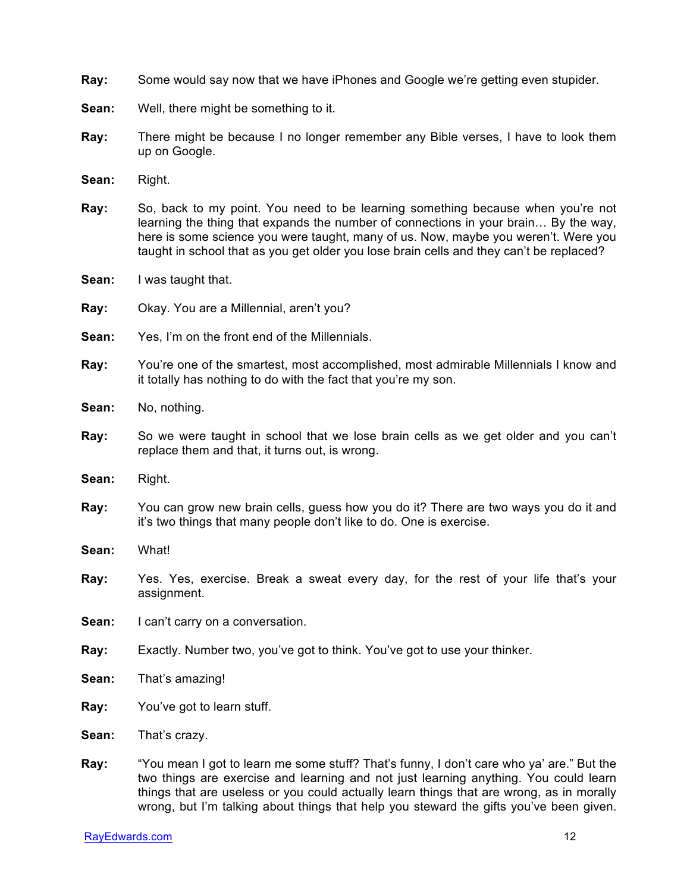- **Ray:** Some would say now that we have iPhones and Google we're getting even stupider.
- **Sean:** Well, there might be something to it.
- **Ray:** There might be because I no longer remember any Bible verses, I have to look them up on Google.
- **Sean:** Right.
- **Ray:** So, back to my point. You need to be learning something because when you're not learning the thing that expands the number of connections in your brain… By the way, here is some science you were taught, many of us. Now, maybe you weren't. Were you taught in school that as you get older you lose brain cells and they can't be replaced?
- **Sean:** I was taught that.
- **Ray:** Okay. You are a Millennial, aren't you?
- **Sean:** Yes, I'm on the front end of the Millennials.
- **Ray:** You're one of the smartest, most accomplished, most admirable Millennials I know and it totally has nothing to do with the fact that you're my son.
- **Sean:** No, nothing.
- **Ray:** So we were taught in school that we lose brain cells as we get older and you can't replace them and that, it turns out, is wrong.
- **Sean:** Right.
- **Ray:** You can grow new brain cells, guess how you do it? There are two ways you do it and it's two things that many people don't like to do. One is exercise.
- **Sean:** What!
- **Ray:** Yes. Yes, exercise. Break a sweat every day, for the rest of your life that's your assignment.
- **Sean:** I can't carry on a conversation.
- **Ray:** Exactly. Number two, you've got to think. You've got to use your thinker.
- **Sean:** That's amazing!
- **Ray:** You've got to learn stuff.
- **Sean:** That's crazy.
- **Ray:** "You mean I got to learn me some stuff? That's funny, I don't care who ya' are." But the two things are exercise and learning and not just learning anything. You could learn things that are useless or you could actually learn things that are wrong, as in morally wrong, but I'm talking about things that help you steward the gifts you've been given.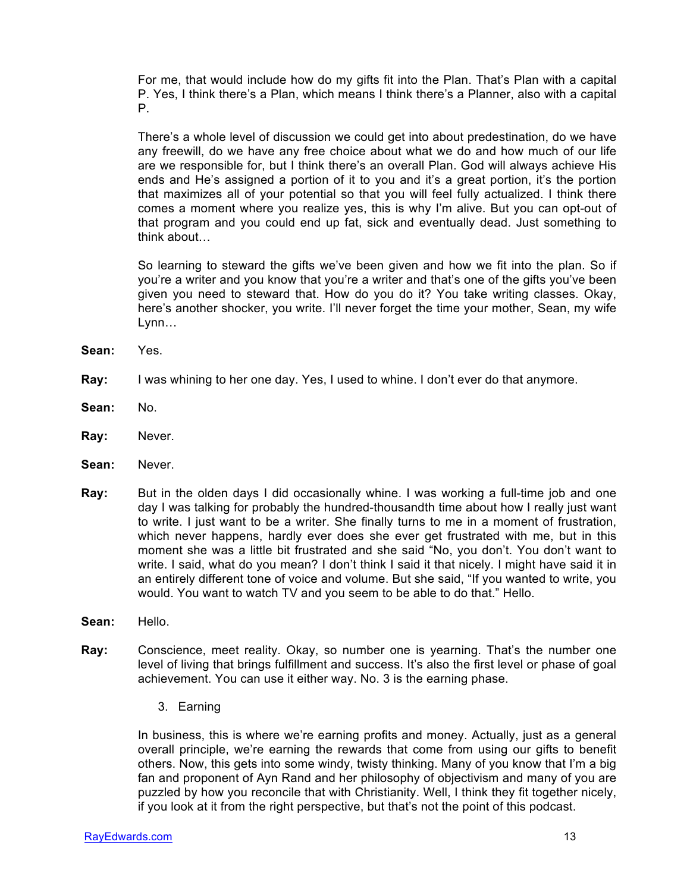For me, that would include how do my gifts fit into the Plan. That's Plan with a capital P. Yes, I think there's a Plan, which means I think there's a Planner, also with a capital P.

There's a whole level of discussion we could get into about predestination, do we have any freewill, do we have any free choice about what we do and how much of our life are we responsible for, but I think there's an overall Plan. God will always achieve His ends and He's assigned a portion of it to you and it's a great portion, it's the portion that maximizes all of your potential so that you will feel fully actualized. I think there comes a moment where you realize yes, this is why I'm alive. But you can opt-out of that program and you could end up fat, sick and eventually dead. Just something to think about…

So learning to steward the gifts we've been given and how we fit into the plan. So if you're a writer and you know that you're a writer and that's one of the gifts you've been given you need to steward that. How do you do it? You take writing classes. Okay, here's another shocker, you write. I'll never forget the time your mother, Sean, my wife Lynn…

- **Sean:** Yes.
- **Ray:** I was whining to her one day. Yes, I used to whine. I don't ever do that anymore.
- **Sean:** No.
- **Ray:** Never.
- **Sean:** Never.
- **Ray:** But in the olden days I did occasionally whine. I was working a full-time job and one day I was talking for probably the hundred-thousandth time about how I really just want to write. I just want to be a writer. She finally turns to me in a moment of frustration, which never happens, hardly ever does she ever get frustrated with me, but in this moment she was a little bit frustrated and she said "No, you don't. You don't want to write. I said, what do you mean? I don't think I said it that nicely. I might have said it in an entirely different tone of voice and volume. But she said, "If you wanted to write, you would. You want to watch TV and you seem to be able to do that." Hello.
- **Sean:** Hello.
- **Ray:** Conscience, meet reality. Okay, so number one is yearning. That's the number one level of living that brings fulfillment and success. It's also the first level or phase of goal achievement. You can use it either way. No. 3 is the earning phase.
	- 3. Earning

In business, this is where we're earning profits and money. Actually, just as a general overall principle, we're earning the rewards that come from using our gifts to benefit others. Now, this gets into some windy, twisty thinking. Many of you know that I'm a big fan and proponent of Ayn Rand and her philosophy of objectivism and many of you are puzzled by how you reconcile that with Christianity. Well, I think they fit together nicely, if you look at it from the right perspective, but that's not the point of this podcast.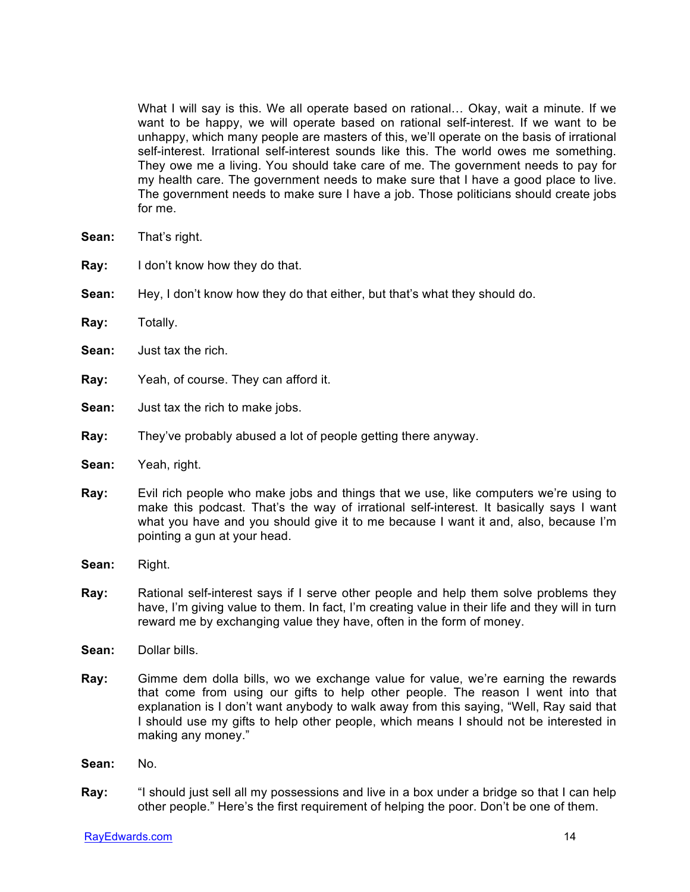What I will say is this. We all operate based on rational… Okay, wait a minute. If we want to be happy, we will operate based on rational self-interest. If we want to be unhappy, which many people are masters of this, we'll operate on the basis of irrational self-interest. Irrational self-interest sounds like this. The world owes me something. They owe me a living. You should take care of me. The government needs to pay for my health care. The government needs to make sure that I have a good place to live. The government needs to make sure I have a job. Those politicians should create jobs for me.

- **Sean:** That's right.
- **Ray:** I don't know how they do that.
- **Sean:** Hey, I don't know how they do that either, but that's what they should do.
- **Ray:** Totally.
- **Sean:** Just tax the rich.
- **Ray:** Yeah, of course. They can afford it.
- **Sean:** Just tax the rich to make jobs.
- **Ray:** They've probably abused a lot of people getting there anyway.
- **Sean:** Yeah, right.
- **Ray:** Evil rich people who make jobs and things that we use, like computers we're using to make this podcast. That's the way of irrational self-interest. It basically says I want what you have and you should give it to me because I want it and, also, because I'm pointing a gun at your head.
- **Sean:** Right.
- **Ray:** Rational self-interest says if I serve other people and help them solve problems they have, I'm giving value to them. In fact, I'm creating value in their life and they will in turn reward me by exchanging value they have, often in the form of money.
- **Sean:** Dollar bills.
- **Ray:** Gimme dem dolla bills, wo we exchange value for value, we're earning the rewards that come from using our gifts to help other people. The reason I went into that explanation is I don't want anybody to walk away from this saying, "Well, Ray said that I should use my gifts to help other people, which means I should not be interested in making any money."
- **Sean:** No.
- **Ray:** "I should just sell all my possessions and live in a box under a bridge so that I can help other people." Here's the first requirement of helping the poor. Don't be one of them.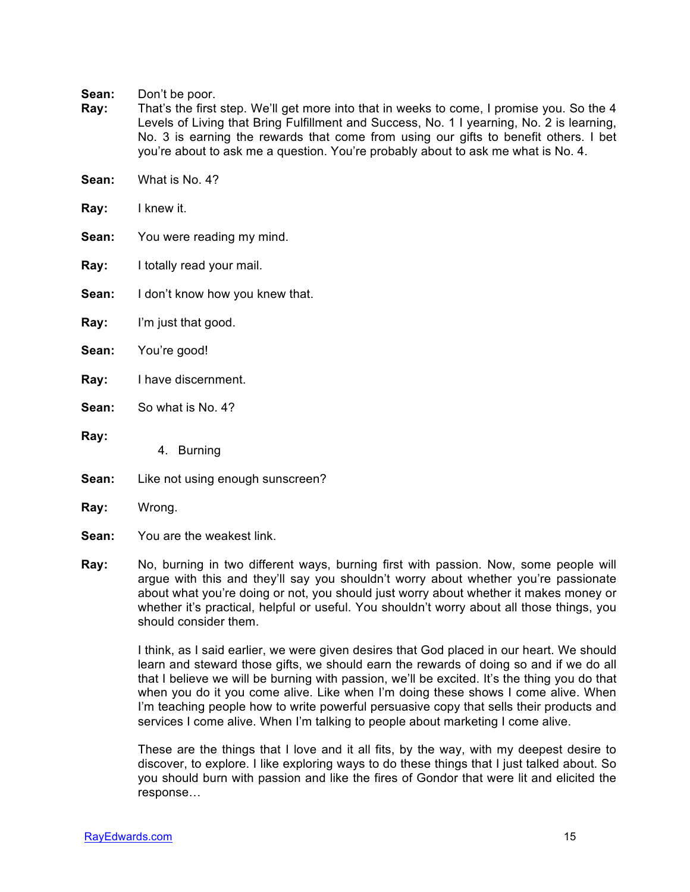**Sean:** Don't be poor.

- **Ray:** That's the first step. We'll get more into that in weeks to come, I promise you. So the 4 Levels of Living that Bring Fulfillment and Success, No. 1 I yearning, No. 2 is learning, No. 3 is earning the rewards that come from using our gifts to benefit others. I bet you're about to ask me a question. You're probably about to ask me what is No. 4.
- **Sean:** What is No. 4?
- **Ray:** I knew it.
- **Sean:** You were reading my mind.
- **Ray:** I totally read your mail.
- **Sean:** I don't know how you knew that.
- **Ray:** I'm just that good.
- **Sean:** You're good!
- **Ray:** I have discernment.
- **Sean:** So what is No. 4?
- **Ray:**
- 4. Burning
- **Sean:** Like not using enough sunscreen?
- **Ray:** Wrong.
- **Sean:** You are the weakest link.
- **Ray:** No, burning in two different ways, burning first with passion. Now, some people will argue with this and they'll say you shouldn't worry about whether you're passionate about what you're doing or not, you should just worry about whether it makes money or whether it's practical, helpful or useful. You shouldn't worry about all those things, you should consider them.

I think, as I said earlier, we were given desires that God placed in our heart. We should learn and steward those gifts, we should earn the rewards of doing so and if we do all that I believe we will be burning with passion, we'll be excited. It's the thing you do that when you do it you come alive. Like when I'm doing these shows I come alive. When I'm teaching people how to write powerful persuasive copy that sells their products and services I come alive. When I'm talking to people about marketing I come alive.

These are the things that I love and it all fits, by the way, with my deepest desire to discover, to explore. I like exploring ways to do these things that I just talked about. So you should burn with passion and like the fires of Gondor that were lit and elicited the response…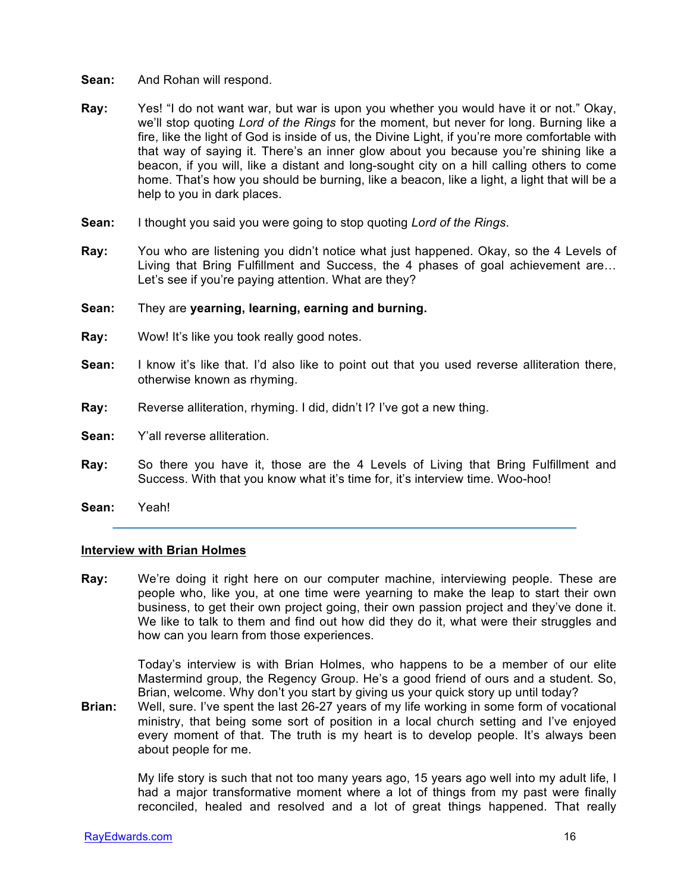- **Sean:** And Rohan will respond.
- **Ray:** Yes! "I do not want war, but war is upon you whether you would have it or not." Okay, we'll stop quoting *Lord of the Rings* for the moment, but never for long. Burning like a fire, like the light of God is inside of us, the Divine Light, if you're more comfortable with that way of saying it. There's an inner glow about you because you're shining like a beacon, if you will, like a distant and long-sought city on a hill calling others to come home. That's how you should be burning, like a beacon, like a light, a light that will be a help to you in dark places.
- **Sean:** I thought you said you were going to stop quoting *Lord of the Rings*.
- **Ray:** You who are listening you didn't notice what just happened. Okay, so the 4 Levels of Living that Bring Fulfillment and Success, the 4 phases of goal achievement are… Let's see if you're paying attention. What are they?

#### **Sean:** They are **yearning, learning, earning and burning.**

- **Ray:** Wow! It's like you took really good notes.
- **Sean:** I know it's like that. I'd also like to point out that you used reverse alliteration there, otherwise known as rhyming.
- **Ray:** Reverse alliteration, rhyming. I did, didn't I? I've got a new thing.
- **Sean:** Y'all reverse alliteration.
- **Ray:** So there you have it, those are the 4 Levels of Living that Bring Fulfillment and Success. With that you know what it's time for, it's interview time. Woo-hoo!
- **Sean:** Yeah!

#### **Interview with Brian Holmes**

**Ray:** We're doing it right here on our computer machine, interviewing people. These are people who, like you, at one time were yearning to make the leap to start their own business, to get their own project going, their own passion project and they've done it. We like to talk to them and find out how did they do it, what were their struggles and how can you learn from those experiences.

> Today's interview is with Brian Holmes, who happens to be a member of our elite Mastermind group, the Regency Group. He's a good friend of ours and a student. So, Brian, welcome. Why don't you start by giving us your quick story up until today?

**Brian:** Well, sure. I've spent the last 26-27 years of my life working in some form of vocational ministry, that being some sort of position in a local church setting and I've enjoyed every moment of that. The truth is my heart is to develop people. It's always been about people for me.

> My life story is such that not too many years ago, 15 years ago well into my adult life, I had a major transformative moment where a lot of things from my past were finally reconciled, healed and resolved and a lot of great things happened. That really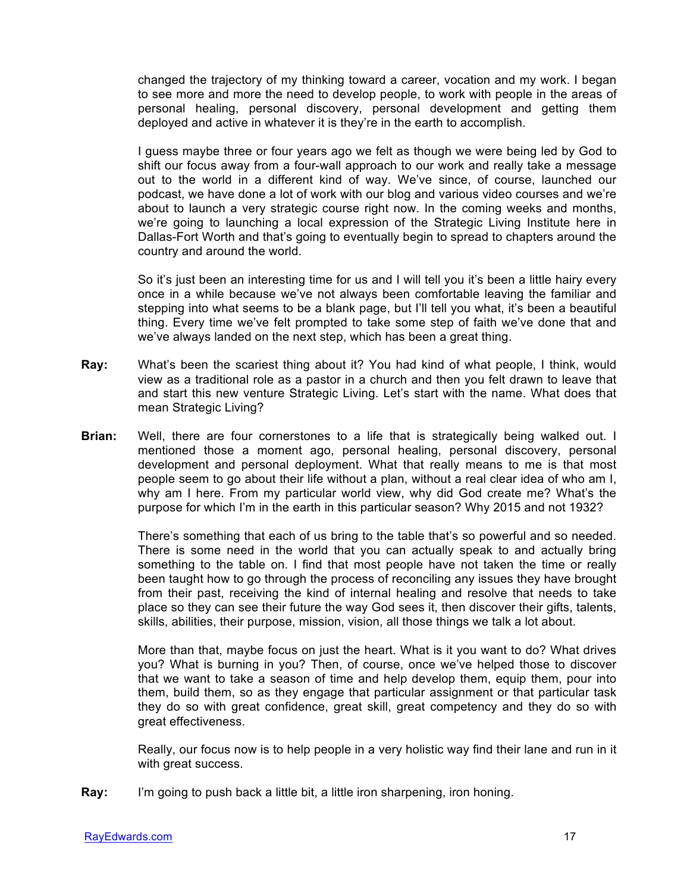changed the trajectory of my thinking toward a career, vocation and my work. I began to see more and more the need to develop people, to work with people in the areas of personal healing, personal discovery, personal development and getting them deployed and active in whatever it is they're in the earth to accomplish.

I guess maybe three or four years ago we felt as though we were being led by God to shift our focus away from a four-wall approach to our work and really take a message out to the world in a different kind of way. We've since, of course, launched our podcast, we have done a lot of work with our blog and various video courses and we're about to launch a very strategic course right now. In the coming weeks and months, we're going to launching a local expression of the Strategic Living Institute here in Dallas-Fort Worth and that's going to eventually begin to spread to chapters around the country and around the world.

So it's just been an interesting time for us and I will tell you it's been a little hairy every once in a while because we've not always been comfortable leaving the familiar and stepping into what seems to be a blank page, but I'll tell you what, it's been a beautiful thing. Every time we've felt prompted to take some step of faith we've done that and we've always landed on the next step, which has been a great thing.

- **Ray:** What's been the scariest thing about it? You had kind of what people, I think, would view as a traditional role as a pastor in a church and then you felt drawn to leave that and start this new venture Strategic Living. Let's start with the name. What does that mean Strategic Living?
- **Brian:** Well, there are four cornerstones to a life that is strategically being walked out. I mentioned those a moment ago, personal healing, personal discovery, personal development and personal deployment. What that really means to me is that most people seem to go about their life without a plan, without a real clear idea of who am I, why am I here. From my particular world view, why did God create me? What's the purpose for which I'm in the earth in this particular season? Why 2015 and not 1932?

There's something that each of us bring to the table that's so powerful and so needed. There is some need in the world that you can actually speak to and actually bring something to the table on. I find that most people have not taken the time or really been taught how to go through the process of reconciling any issues they have brought from their past, receiving the kind of internal healing and resolve that needs to take place so they can see their future the way God sees it, then discover their gifts, talents, skills, abilities, their purpose, mission, vision, all those things we talk a lot about.

More than that, maybe focus on just the heart. What is it you want to do? What drives you? What is burning in you? Then, of course, once we've helped those to discover that we want to take a season of time and help develop them, equip them, pour into them, build them, so as they engage that particular assignment or that particular task they do so with great confidence, great skill, great competency and they do so with great effectiveness.

Really, our focus now is to help people in a very holistic way find their lane and run in it with great success.

**Ray:** I'm going to push back a little bit, a little iron sharpening, iron honing.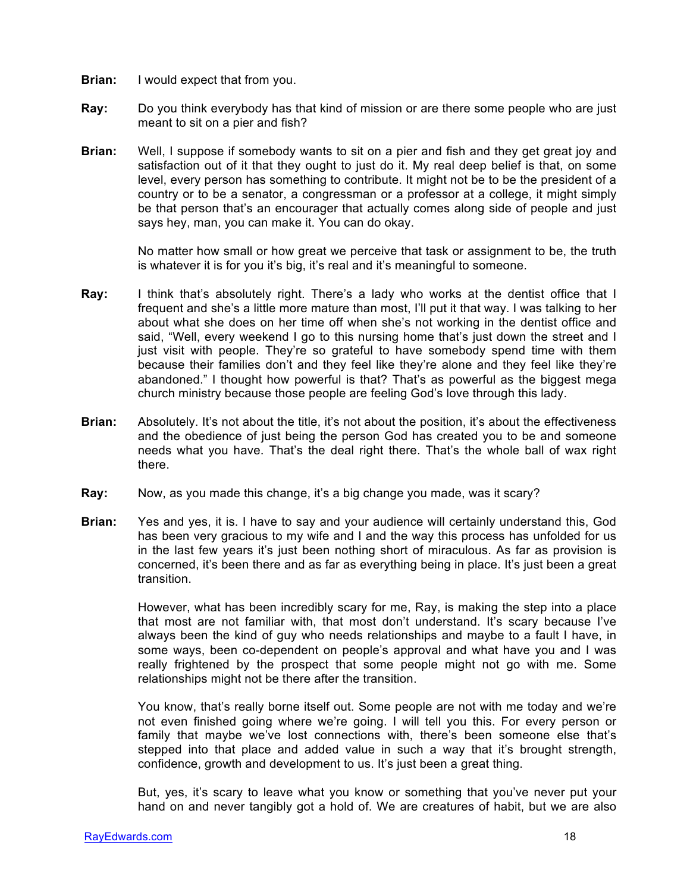- **Brian:** I would expect that from you.
- **Ray:** Do you think everybody has that kind of mission or are there some people who are just meant to sit on a pier and fish?
- **Brian:** Well, I suppose if somebody wants to sit on a pier and fish and they get great joy and satisfaction out of it that they ought to just do it. My real deep belief is that, on some level, every person has something to contribute. It might not be to be the president of a country or to be a senator, a congressman or a professor at a college, it might simply be that person that's an encourager that actually comes along side of people and just says hey, man, you can make it. You can do okay.

No matter how small or how great we perceive that task or assignment to be, the truth is whatever it is for you it's big, it's real and it's meaningful to someone.

- **Ray:** I think that's absolutely right. There's a lady who works at the dentist office that I frequent and she's a little more mature than most, I'll put it that way. I was talking to her about what she does on her time off when she's not working in the dentist office and said, "Well, every weekend I go to this nursing home that's just down the street and I just visit with people. They're so grateful to have somebody spend time with them because their families don't and they feel like they're alone and they feel like they're abandoned." I thought how powerful is that? That's as powerful as the biggest mega church ministry because those people are feeling God's love through this lady.
- **Brian:** Absolutely. It's not about the title, it's not about the position, it's about the effectiveness and the obedience of just being the person God has created you to be and someone needs what you have. That's the deal right there. That's the whole ball of wax right there.
- **Ray:** Now, as you made this change, it's a big change you made, was it scary?
- **Brian:** Yes and yes, it is. I have to say and your audience will certainly understand this, God has been very gracious to my wife and I and the way this process has unfolded for us in the last few years it's just been nothing short of miraculous. As far as provision is concerned, it's been there and as far as everything being in place. It's just been a great transition.

However, what has been incredibly scary for me, Ray, is making the step into a place that most are not familiar with, that most don't understand. It's scary because I've always been the kind of guy who needs relationships and maybe to a fault I have, in some ways, been co-dependent on people's approval and what have you and I was really frightened by the prospect that some people might not go with me. Some relationships might not be there after the transition.

You know, that's really borne itself out. Some people are not with me today and we're not even finished going where we're going. I will tell you this. For every person or family that maybe we've lost connections with, there's been someone else that's stepped into that place and added value in such a way that it's brought strength, confidence, growth and development to us. It's just been a great thing.

But, yes, it's scary to leave what you know or something that you've never put your hand on and never tangibly got a hold of. We are creatures of habit, but we are also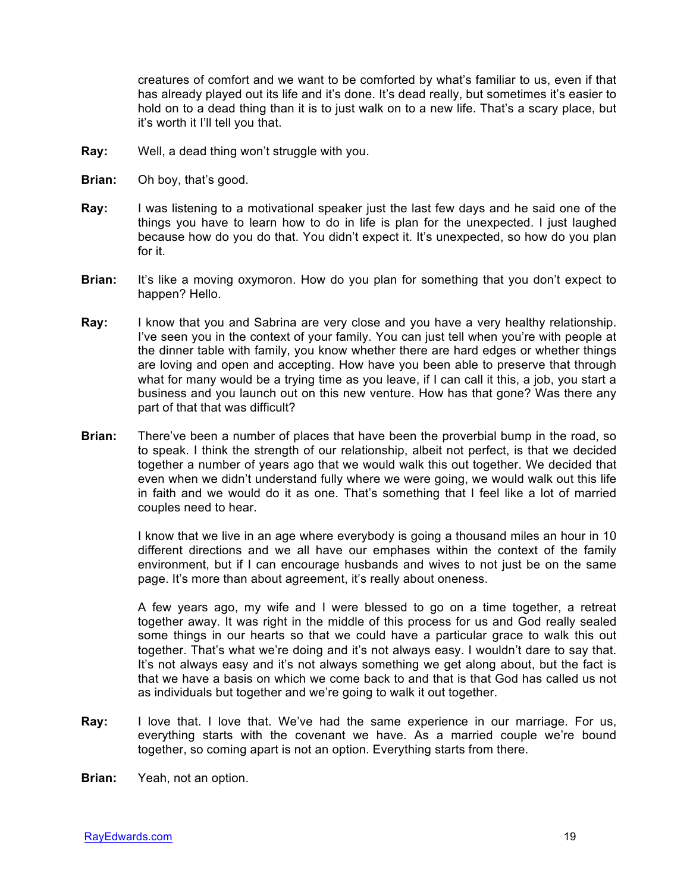creatures of comfort and we want to be comforted by what's familiar to us, even if that has already played out its life and it's done. It's dead really, but sometimes it's easier to hold on to a dead thing than it is to just walk on to a new life. That's a scary place, but it's worth it I'll tell you that.

- **Ray:** Well, a dead thing won't struggle with you.
- **Brian:** Oh boy, that's good.
- **Ray:** I was listening to a motivational speaker just the last few days and he said one of the things you have to learn how to do in life is plan for the unexpected. I just laughed because how do you do that. You didn't expect it. It's unexpected, so how do you plan for it.
- **Brian:** It's like a moving oxymoron. How do you plan for something that you don't expect to happen? Hello.
- **Ray:** I know that you and Sabrina are very close and you have a very healthy relationship. I've seen you in the context of your family. You can just tell when you're with people at the dinner table with family, you know whether there are hard edges or whether things are loving and open and accepting. How have you been able to preserve that through what for many would be a trying time as you leave, if I can call it this, a job, you start a business and you launch out on this new venture. How has that gone? Was there any part of that that was difficult?
- **Brian:** There've been a number of places that have been the proverbial bump in the road, so to speak. I think the strength of our relationship, albeit not perfect, is that we decided together a number of years ago that we would walk this out together. We decided that even when we didn't understand fully where we were going, we would walk out this life in faith and we would do it as one. That's something that I feel like a lot of married couples need to hear.

I know that we live in an age where everybody is going a thousand miles an hour in 10 different directions and we all have our emphases within the context of the family environment, but if I can encourage husbands and wives to not just be on the same page. It's more than about agreement, it's really about oneness.

A few years ago, my wife and I were blessed to go on a time together, a retreat together away. It was right in the middle of this process for us and God really sealed some things in our hearts so that we could have a particular grace to walk this out together. That's what we're doing and it's not always easy. I wouldn't dare to say that. It's not always easy and it's not always something we get along about, but the fact is that we have a basis on which we come back to and that is that God has called us not as individuals but together and we're going to walk it out together.

**Ray:** I love that. I love that. We've had the same experience in our marriage. For us, everything starts with the covenant we have. As a married couple we're bound together, so coming apart is not an option. Everything starts from there.

**Brian:** Yeah, not an option.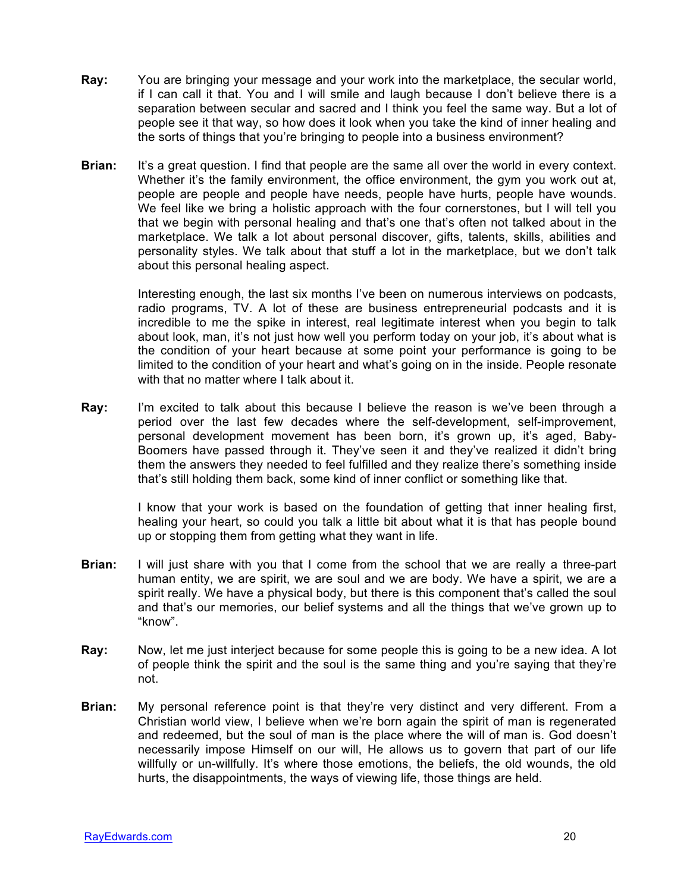- **Ray:** You are bringing your message and your work into the marketplace, the secular world, if I can call it that. You and I will smile and laugh because I don't believe there is a separation between secular and sacred and I think you feel the same way. But a lot of people see it that way, so how does it look when you take the kind of inner healing and the sorts of things that you're bringing to people into a business environment?
- **Brian:** It's a great question. I find that people are the same all over the world in every context. Whether it's the family environment, the office environment, the gym you work out at, people are people and people have needs, people have hurts, people have wounds. We feel like we bring a holistic approach with the four cornerstones, but I will tell you that we begin with personal healing and that's one that's often not talked about in the marketplace. We talk a lot about personal discover, gifts, talents, skills, abilities and personality styles. We talk about that stuff a lot in the marketplace, but we don't talk about this personal healing aspect.

Interesting enough, the last six months I've been on numerous interviews on podcasts, radio programs, TV. A lot of these are business entrepreneurial podcasts and it is incredible to me the spike in interest, real legitimate interest when you begin to talk about look, man, it's not just how well you perform today on your job, it's about what is the condition of your heart because at some point your performance is going to be limited to the condition of your heart and what's going on in the inside. People resonate with that no matter where I talk about it.

**Ray:** I'm excited to talk about this because I believe the reason is we've been through a period over the last few decades where the self-development, self-improvement, personal development movement has been born, it's grown up, it's aged, Baby-Boomers have passed through it. They've seen it and they've realized it didn't bring them the answers they needed to feel fulfilled and they realize there's something inside that's still holding them back, some kind of inner conflict or something like that.

> I know that your work is based on the foundation of getting that inner healing first, healing your heart, so could you talk a little bit about what it is that has people bound up or stopping them from getting what they want in life.

- **Brian:** I will just share with you that I come from the school that we are really a three-part human entity, we are spirit, we are soul and we are body. We have a spirit, we are a spirit really. We have a physical body, but there is this component that's called the soul and that's our memories, our belief systems and all the things that we've grown up to "know".
- **Ray:** Now, let me just interject because for some people this is going to be a new idea. A lot of people think the spirit and the soul is the same thing and you're saying that they're not.
- **Brian:** My personal reference point is that they're very distinct and very different. From a Christian world view, I believe when we're born again the spirit of man is regenerated and redeemed, but the soul of man is the place where the will of man is. God doesn't necessarily impose Himself on our will, He allows us to govern that part of our life willfully or un-willfully. It's where those emotions, the beliefs, the old wounds, the old hurts, the disappointments, the ways of viewing life, those things are held.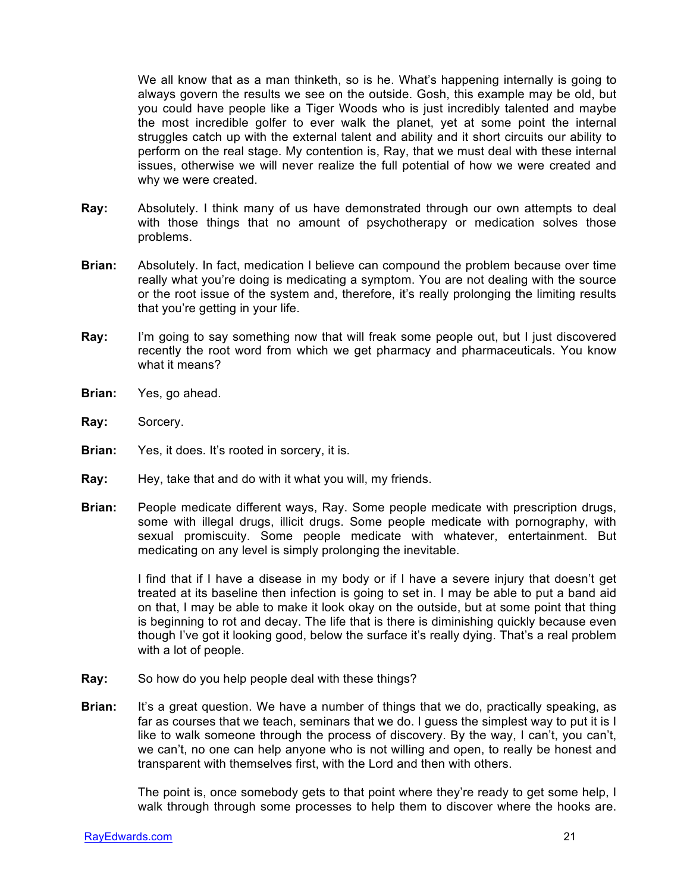We all know that as a man thinketh, so is he. What's happening internally is going to always govern the results we see on the outside. Gosh, this example may be old, but you could have people like a Tiger Woods who is just incredibly talented and maybe the most incredible golfer to ever walk the planet, yet at some point the internal struggles catch up with the external talent and ability and it short circuits our ability to perform on the real stage. My contention is, Ray, that we must deal with these internal issues, otherwise we will never realize the full potential of how we were created and why we were created.

- **Ray:** Absolutely. I think many of us have demonstrated through our own attempts to deal with those things that no amount of psychotherapy or medication solves those problems.
- **Brian:** Absolutely. In fact, medication I believe can compound the problem because over time really what you're doing is medicating a symptom. You are not dealing with the source or the root issue of the system and, therefore, it's really prolonging the limiting results that you're getting in your life.
- **Ray:** I'm going to say something now that will freak some people out, but I just discovered recently the root word from which we get pharmacy and pharmaceuticals. You know what it means?
- **Brian:** Yes, go ahead.
- **Ray:** Sorcery.
- **Brian:** Yes, it does. It's rooted in sorcery, it is.
- **Ray:** Hey, take that and do with it what you will, my friends.
- **Brian:** People medicate different ways, Ray. Some people medicate with prescription drugs, some with illegal drugs, illicit drugs. Some people medicate with pornography, with sexual promiscuity. Some people medicate with whatever, entertainment. But medicating on any level is simply prolonging the inevitable.

I find that if I have a disease in my body or if I have a severe injury that doesn't get treated at its baseline then infection is going to set in. I may be able to put a band aid on that, I may be able to make it look okay on the outside, but at some point that thing is beginning to rot and decay. The life that is there is diminishing quickly because even though I've got it looking good, below the surface it's really dying. That's a real problem with a lot of people.

- **Ray:** So how do you help people deal with these things?
- **Brian:** It's a great question. We have a number of things that we do, practically speaking, as far as courses that we teach, seminars that we do. I guess the simplest way to put it is I like to walk someone through the process of discovery. By the way, I can't, you can't, we can't, no one can help anyone who is not willing and open, to really be honest and transparent with themselves first, with the Lord and then with others.

The point is, once somebody gets to that point where they're ready to get some help, I walk through through some processes to help them to discover where the hooks are.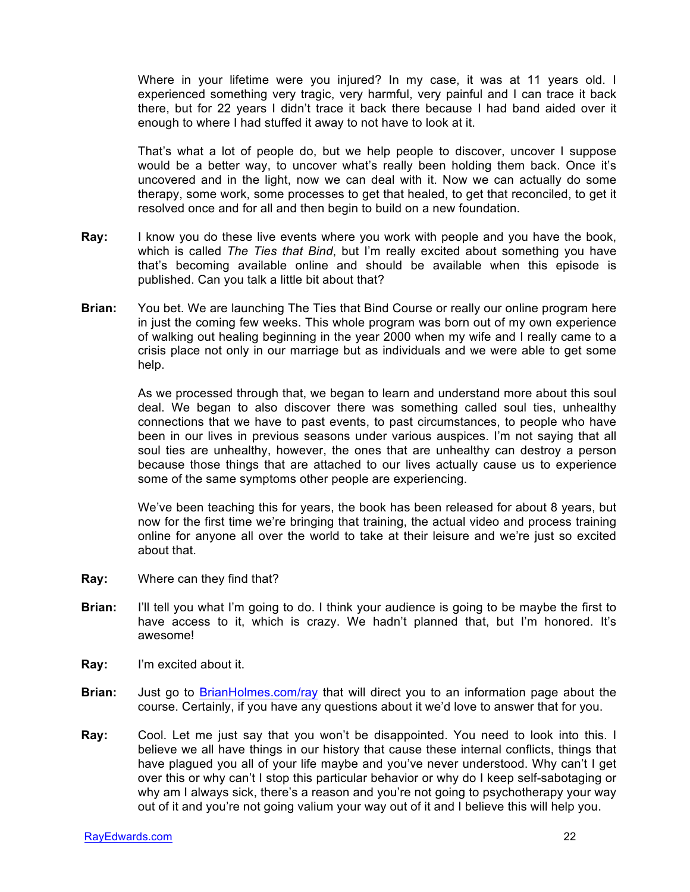Where in your lifetime were you injured? In my case, it was at 11 years old. I experienced something very tragic, very harmful, very painful and I can trace it back there, but for 22 years I didn't trace it back there because I had band aided over it enough to where I had stuffed it away to not have to look at it.

That's what a lot of people do, but we help people to discover, uncover I suppose would be a better way, to uncover what's really been holding them back. Once it's uncovered and in the light, now we can deal with it. Now we can actually do some therapy, some work, some processes to get that healed, to get that reconciled, to get it resolved once and for all and then begin to build on a new foundation.

- **Ray:** I know you do these live events where you work with people and you have the book, which is called *The Ties that Bind*, but I'm really excited about something you have that's becoming available online and should be available when this episode is published. Can you talk a little bit about that?
- **Brian:** You bet. We are launching The Ties that Bind Course or really our online program here in just the coming few weeks. This whole program was born out of my own experience of walking out healing beginning in the year 2000 when my wife and I really came to a crisis place not only in our marriage but as individuals and we were able to get some help.

As we processed through that, we began to learn and understand more about this soul deal. We began to also discover there was something called soul ties, unhealthy connections that we have to past events, to past circumstances, to people who have been in our lives in previous seasons under various auspices. I'm not saying that all soul ties are unhealthy, however, the ones that are unhealthy can destroy a person because those things that are attached to our lives actually cause us to experience some of the same symptoms other people are experiencing.

We've been teaching this for years, the book has been released for about 8 years, but now for the first time we're bringing that training, the actual video and process training online for anyone all over the world to take at their leisure and we're just so excited about that.

- **Ray:** Where can they find that?
- **Brian:** I'll tell you what I'm going to do. I think your audience is going to be maybe the first to have access to it, which is crazy. We hadn't planned that, but I'm honored. It's awesome!
- **Ray:** I'm excited about it.
- **Brian:** Just go to BrianHolmes.com/ray that will direct you to an information page about the course. Certainly, if you have any questions about it we'd love to answer that for you.
- **Ray:** Cool. Let me just say that you won't be disappointed. You need to look into this. I believe we all have things in our history that cause these internal conflicts, things that have plagued you all of your life maybe and you've never understood. Why can't I get over this or why can't I stop this particular behavior or why do I keep self-sabotaging or why am I always sick, there's a reason and you're not going to psychotherapy your way out of it and you're not going valium your way out of it and I believe this will help you.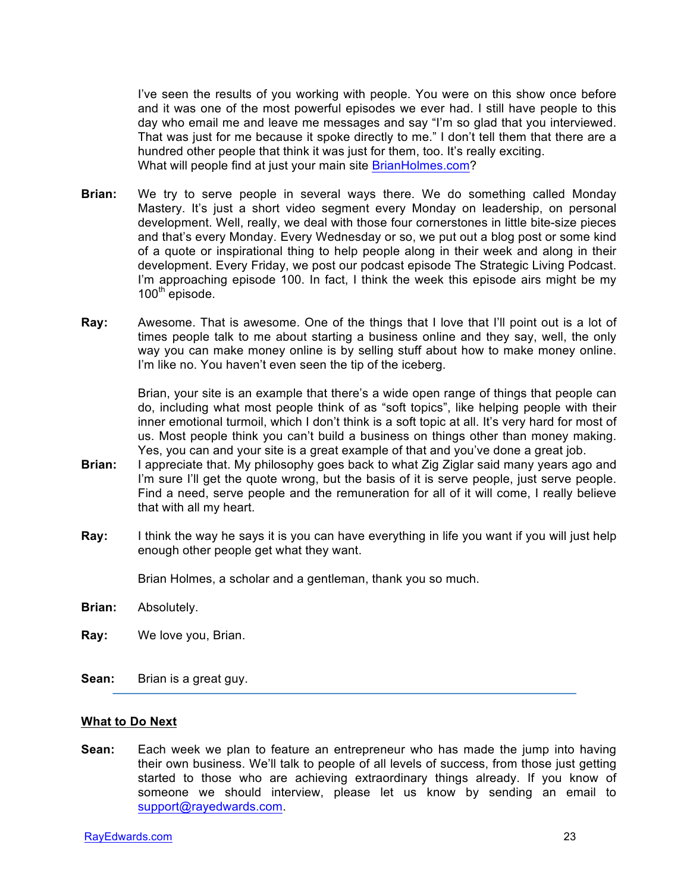I've seen the results of you working with people. You were on this show once before and it was one of the most powerful episodes we ever had. I still have people to this day who email me and leave me messages and say "I'm so glad that you interviewed. That was just for me because it spoke directly to me." I don't tell them that there are a hundred other people that think it was just for them, too. It's really exciting. What will people find at just your main site BrianHolmes.com?

- **Brian:** We try to serve people in several ways there. We do something called Monday Mastery. It's just a short video segment every Monday on leadership, on personal development. Well, really, we deal with those four cornerstones in little bite-size pieces and that's every Monday. Every Wednesday or so, we put out a blog post or some kind of a quote or inspirational thing to help people along in their week and along in their development. Every Friday, we post our podcast episode The Strategic Living Podcast. I'm approaching episode 100. In fact, I think the week this episode airs might be my  $100^{th}$  episode.
- **Ray:** Awesome. That is awesome. One of the things that I love that I'll point out is a lot of times people talk to me about starting a business online and they say, well, the only way you can make money online is by selling stuff about how to make money online. I'm like no. You haven't even seen the tip of the iceberg.

Brian, your site is an example that there's a wide open range of things that people can do, including what most people think of as "soft topics", like helping people with their inner emotional turmoil, which I don't think is a soft topic at all. It's very hard for most of us. Most people think you can't build a business on things other than money making. Yes, you can and your site is a great example of that and you've done a great job.

- **Brian:** I appreciate that. My philosophy goes back to what Zig Ziglar said many years ago and I'm sure I'll get the quote wrong, but the basis of it is serve people, just serve people. Find a need, serve people and the remuneration for all of it will come, I really believe that with all my heart.
- **Ray:** I think the way he says it is you can have everything in life you want if you will just help enough other people get what they want.

Brian Holmes, a scholar and a gentleman, thank you so much.

- **Brian:** Absolutely.
- **Ray:** We love you, Brian.
- **Sean:** Brian is a great guy.

#### **What to Do Next**

**Sean:** Each week we plan to feature an entrepreneur who has made the jump into having their own business. We'll talk to people of all levels of success, from those just getting started to those who are achieving extraordinary things already. If you know of someone we should interview, please let us know by sending an email to support@rayedwards.com.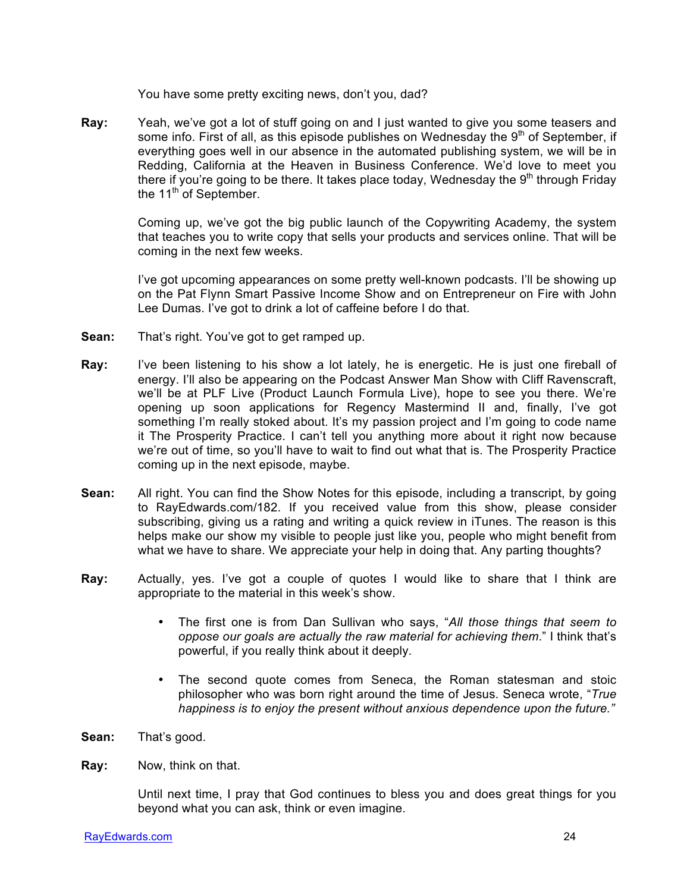You have some pretty exciting news, don't you, dad?

**Ray:** Yeah, we've got a lot of stuff going on and I just wanted to give you some teasers and some info. First of all, as this episode publishes on Wednesday the  $9<sup>th</sup>$  of September, if everything goes well in our absence in the automated publishing system, we will be in Redding, California at the Heaven in Business Conference. We'd love to meet you there if you're going to be there. It takes place today, Wednesday the  $9<sup>th</sup>$  through Friday the  $11<sup>th</sup>$  of September.

> Coming up, we've got the big public launch of the Copywriting Academy, the system that teaches you to write copy that sells your products and services online. That will be coming in the next few weeks.

> I've got upcoming appearances on some pretty well-known podcasts. I'll be showing up on the Pat Flynn Smart Passive Income Show and on Entrepreneur on Fire with John Lee Dumas. I've got to drink a lot of caffeine before I do that.

- **Sean:** That's right. You've got to get ramped up.
- **Ray:** I've been listening to his show a lot lately, he is energetic. He is just one fireball of energy. I'll also be appearing on the Podcast Answer Man Show with Cliff Ravenscraft, we'll be at PLF Live (Product Launch Formula Live), hope to see you there. We're opening up soon applications for Regency Mastermind II and, finally, I've got something I'm really stoked about. It's my passion project and I'm going to code name it The Prosperity Practice. I can't tell you anything more about it right now because we're out of time, so you'll have to wait to find out what that is. The Prosperity Practice coming up in the next episode, maybe.
- **Sean:** All right. You can find the Show Notes for this episode, including a transcript, by going to RayEdwards.com/182. If you received value from this show, please consider subscribing, giving us a rating and writing a quick review in iTunes. The reason is this helps make our show my visible to people just like you, people who might benefit from what we have to share. We appreciate your help in doing that. Any parting thoughts?
- **Ray:** Actually, yes. I've got a couple of quotes I would like to share that I think are appropriate to the material in this week's show.
	- The first one is from Dan Sullivan who says, "*All those things that seem to oppose our goals are actually the raw material for achieving them*." I think that's powerful, if you really think about it deeply.
	- The second quote comes from Seneca, the Roman statesman and stoic philosopher who was born right around the time of Jesus. Seneca wrote, "*True happiness is to enjoy the present without anxious dependence upon the future."*
- **Sean:** That's good.
- **Ray:** Now, think on that.

Until next time, I pray that God continues to bless you and does great things for you beyond what you can ask, think or even imagine.